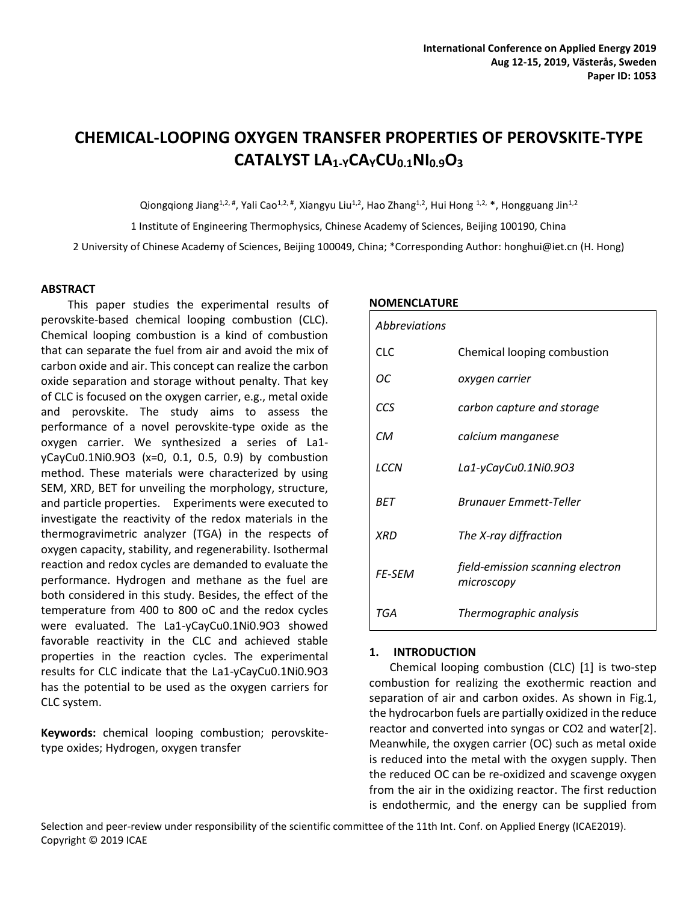# **CHEMICAL-LOOPING OXYGEN TRANSFER PROPERTIES OF PEROVSKITE-TYPE CATALYST LA1-YCAYCU0.1NI0.9O<sup>3</sup>**

Qiongqiong Jiang<sup>1,2,#</sup>, Yali Cao<sup>1,2,#</sup>, Xiangyu Liu<sup>1,2</sup>, Hao Zhang<sup>1,2</sup>, Hui Hong <sup>1,2,</sup> \*, Hongguang Jin<sup>1,2</sup>

1 Institute of Engineering Thermophysics, Chinese Academy of Sciences, Beijing 100190, China

2 University of Chinese Academy of Sciences, Beijing 100049, China; \*Corresponding Author: honghui@iet.cn (H. Hong)

### **ABSTRACT**

This paper studies the experimental results of perovskite-based chemical looping combustion (CLC). Chemical looping combustion is a kind of combustion that can separate the fuel from air and avoid the mix of carbon oxide and air. This concept can realize the carbon oxide separation and storage without penalty. That key of CLC is focused on the oxygen carrier, e.g., metal oxide and perovskite. The study aims to assess the performance of a novel perovskite-type oxide as the oxygen carrier. We synthesized a series of La1 yCayCu0.1Ni0.9O3 (x=0, 0.1, 0.5, 0.9) by combustion method. These materials were characterized by using SEM, XRD, BET for unveiling the morphology, structure, and particle properties. Experiments were executed to investigate the reactivity of the redox materials in the thermogravimetric analyzer (TGA) in the respects of oxygen capacity, stability, and regenerability. Isothermal reaction and redox cycles are demanded to evaluate the performance. Hydrogen and methane as the fuel are both considered in this study. Besides, the effect of the temperature from 400 to 800 oC and the redox cycles were evaluated. The La1-yCayCu0.1Ni0.9O3 showed favorable reactivity in the CLC and achieved stable properties in the reaction cycles. The experimental results for CLC indicate that the La1-yCayCu0.1Ni0.9O3 has the potential to be used as the oxygen carriers for CLC system.

**Keywords:** chemical looping combustion; perovskitetype oxides; Hydrogen, oxygen transfer

### **NOMENCLATURE**

| Abbreviations |                                                |
|---------------|------------------------------------------------|
| <b>CLC</b>    | Chemical looping combustion                    |
| ОC            | oxygen carrier                                 |
| CCS           | carbon capture and storage                     |
| <b>CM</b>     | calcium manganese                              |
| LCCN          | La1-yCayCu0.1Ni0.9O3                           |
| <b>BFT</b>    | <b>Brunguer Emmett-Teller</b>                  |
| <b>XRD</b>    | The X-ray diffraction                          |
| <b>FF-SFM</b> | field-emission scanning electron<br>microscopy |
| TGA           | Thermographic analysis                         |

### **1. INTRODUCTION**

Chemical looping combustion (CLC) [1] is two-step combustion for realizing the exothermic reaction and separation of air and carbon oxides. As shown in Fig.1, the hydrocarbon fuels are partially oxidized in the reduce reactor and converted into syngas or CO2 and water[2]. Meanwhile, the oxygen carrier (OC) such as metal oxide is reduced into the metal with the oxygen supply. Then the reduced OC can be re-oxidized and scavenge oxygen from the air in the oxidizing reactor. The first reduction is endothermic, and the energy can be supplied from

Selection and peer-review under responsibility of the scientific committee of the 11th Int. Conf. on Applied Energy (ICAE2019). Copyright © 2019 ICAE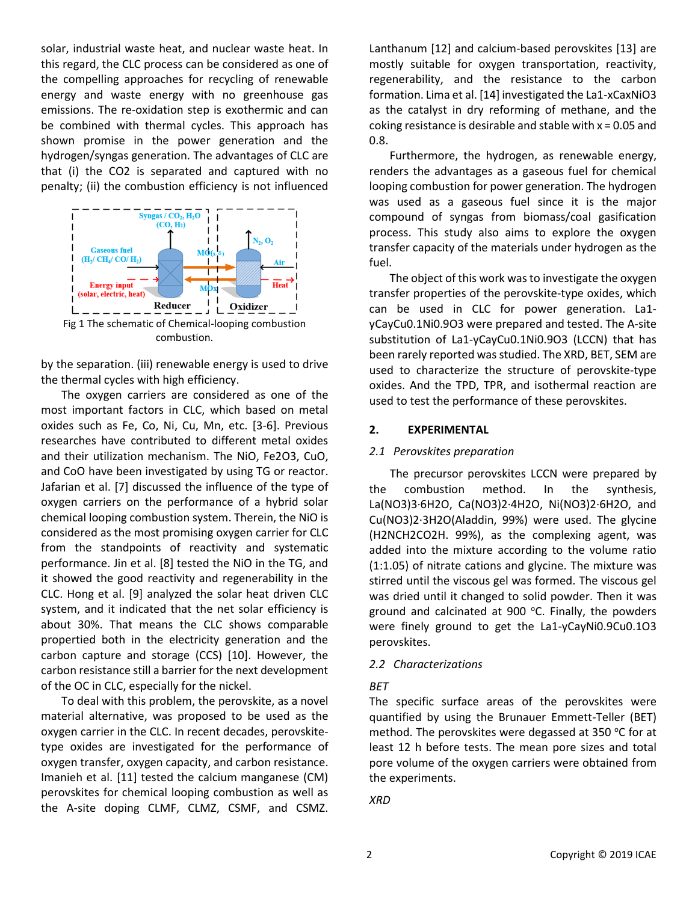solar, industrial waste heat, and nuclear waste heat. In this regard, the CLC process can be considered as one of the compelling approaches for recycling of renewable energy and waste energy with no greenhouse gas emissions. The re-oxidation step is exothermic and can be combined with thermal cycles. This approach has shown promise in the power generation and the hydrogen/syngas generation. The advantages of CLC are that (i) the CO2 is separated and captured with no penalty; (ii) the combustion efficiency is not influenced



by the separation. (iii) renewable energy is used to drive the thermal cycles with high efficiency.

The oxygen carriers are considered as one of the most important factors in CLC, which based on metal oxides such as Fe, Co, Ni, Cu, Mn, etc. [3-6]. Previous researches have contributed to different metal oxides and their utilization mechanism. The NiO, Fe2O3, CuO, and CoO have been investigated by using TG or reactor. Jafarian et al. [7] discussed the influence of the type of oxygen carriers on the performance of a hybrid solar chemical looping combustion system. Therein, the NiO is considered as the most promising oxygen carrier for CLC from the standpoints of reactivity and systematic performance. Jin et al. [8] tested the NiO in the TG, and it showed the good reactivity and regenerability in the CLC. Hong et al. [9] analyzed the solar heat driven CLC system, and it indicated that the net solar efficiency is about 30%. That means the CLC shows comparable propertied both in the electricity generation and the carbon capture and storage (CCS) [10]. However, the carbon resistance still a barrier for the next development of the OC in CLC, especially for the nickel.

To deal with this problem, the perovskite, as a novel material alternative, was proposed to be used as the oxygen carrier in the CLC. In recent decades, perovskitetype oxides are investigated for the performance of oxygen transfer, oxygen capacity, and carbon resistance. Imanieh et al. [11] tested the calcium manganese (CM) perovskites for chemical looping combustion as well as the A-site doping CLMF, CLMZ, CSMF, and CSMZ.

Lanthanum [12] and calcium-based perovskites [13] are mostly suitable for oxygen transportation, reactivity, regenerability, and the resistance to the carbon formation. Lima et al. [14] investigated the La1-xCaxNiO3 as the catalyst in dry reforming of methane, and the coking resistance is desirable and stable with  $x = 0.05$  and 0.8.

Furthermore, the hydrogen, as renewable energy, renders the advantages as a gaseous fuel for chemical looping combustion for power generation. The hydrogen was used as a gaseous fuel since it is the major compound of syngas from biomass/coal gasification process. This study also aims to explore the oxygen transfer capacity of the materials under hydrogen as the fuel.

The object of this work was to investigate the oxygen transfer properties of the perovskite-type oxides, which can be used in CLC for power generation. La1 yCayCu0.1Ni0.9O3 were prepared and tested. The A-site substitution of La1-yCayCu0.1Ni0.9O3 (LCCN) that has been rarely reported was studied. The XRD, BET, SEM are used to characterize the structure of perovskite-type oxides. And the TPD, TPR, and isothermal reaction are used to test the performance of these perovskites.

# **2. EXPERIMENTAL**

# *2.1 Perovskites preparation*

The precursor perovskites LCCN were prepared by the combustion method. In the synthesis, La(NO3)3·6H2O, Ca(NO3)2·4H2O, Ni(NO3)2·6H2O, and Cu(NO3)2·3H2O(Aladdin, 99%) were used. The glycine (H2NCH2CO2H. 99%), as the complexing agent, was added into the mixture according to the volume ratio (1:1.05) of nitrate cations and glycine. The mixture was stirred until the viscous gel was formed. The viscous gel was dried until it changed to solid powder. Then it was ground and calcinated at 900 $^{\circ}$ C. Finally, the powders were finely ground to get the La1-yCayNi0.9Cu0.1O3 perovskites.

# *2.2 Characterizations*

# *BET*

The specific surface areas of the perovskites were quantified by using the Brunauer Emmett-Teller (BET) method. The perovskites were degassed at 350  $^{\circ}$ C for at least 12 h before tests. The mean pore sizes and total pore volume of the oxygen carriers were obtained from the experiments.

*XRD*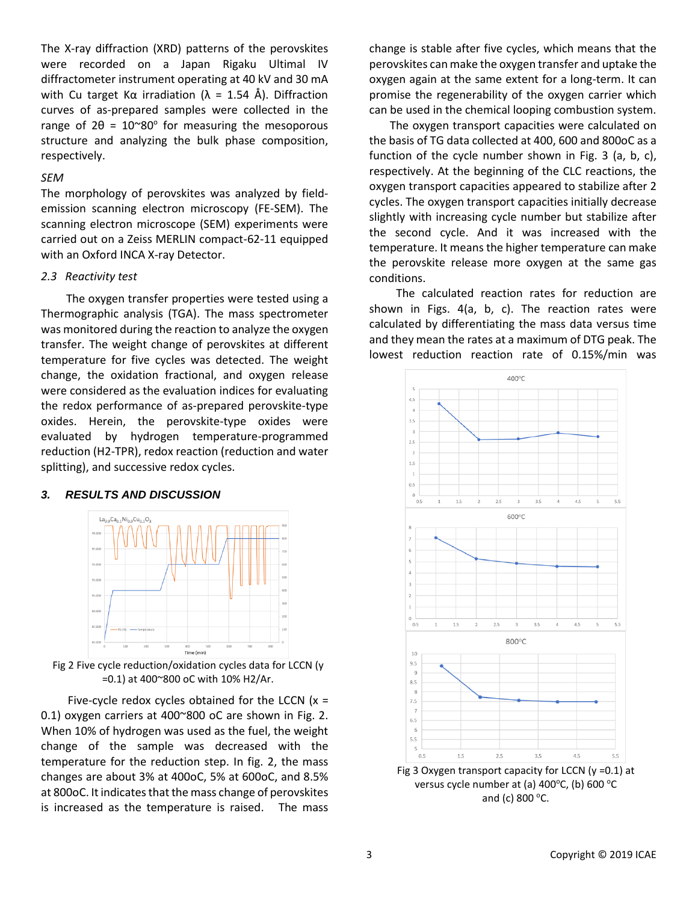The X-ray diffraction (XRD) patterns of the perovskites were recorded on a Japan Rigaku Ultimal IV diffractometer instrument operating at 40 kV and 30 mA with Cu target K $\alpha$  irradiation ( $\lambda = 1.54$  Å). Diffraction curves of as-prepared samples were collected in the range of  $2\theta = 10^{\circ}80^{\circ}$  for measuring the mesoporous structure and analyzing the bulk phase composition, respectively.

### *SEM*

The morphology of perovskites was analyzed by fieldemission scanning electron microscopy (FE-SEM). The scanning electron microscope (SEM) experiments were carried out on a Zeiss MERLIN compact-62-11 equipped with an Oxford INCA X-ray Detector.

#### *2.3 Reactivity test*

 The oxygen transfer properties were tested using a Thermographic analysis (TGA). The mass spectrometer was monitored during the reaction to analyze the oxygen transfer. The weight change of perovskites at different temperature for five cycles was detected. The weight change, the oxidation fractional, and oxygen release were considered as the evaluation indices for evaluating the redox performance of as-prepared perovskite-type oxides. Herein, the perovskite-type oxides were evaluated by hydrogen temperature-programmed reduction (H2-TPR), redox reaction (reduction and water splitting), and successive redox cycles.

### *3. RESULTS AND DISCUSSION*



Fig 2 Five cycle reduction/oxidation cycles data for LCCN (y =0.1) at 400~800 oC with 10% H2/Ar.

Five-cycle redox cycles obtained for the LCCN  $(x =$ 0.1) oxygen carriers at 400~800 oC are shown in Fig. 2. When 10% of hydrogen was used as the fuel, the weight change of the sample was decreased with the temperature for the reduction step. In fig. 2, the mass changes are about 3% at 400oC, 5% at 600oC, and 8.5% at 800oC. It indicates that the mass change of perovskites is increased as the temperature is raised. The mass

change is stable after five cycles, which means that the perovskites can make the oxygen transfer and uptake the oxygen again at the same extent for a long-term. It can promise the regenerability of the oxygen carrier which can be used in the chemical looping combustion system.

The oxygen transport capacities were calculated on the basis of TG data collected at 400, 600 and 800oC as a function of the cycle number shown in Fig. 3 (a, b, c), respectively. At the beginning of the CLC reactions, the oxygen transport capacities appeared to stabilize after 2 cycles. The oxygen transport capacities initially decrease slightly with increasing cycle number but stabilize after the second cycle. And it was increased with the temperature. It means the higher temperature can make the perovskite release more oxygen at the same gas conditions.

The calculated reaction rates for reduction are shown in Figs. 4(a, b, c). The reaction rates were calculated by differentiating the mass data versus time and they mean the rates at a maximum of DTG peak. The lowest reduction reaction rate of 0.15%/min was



and (c) 800 $\degree$ C.